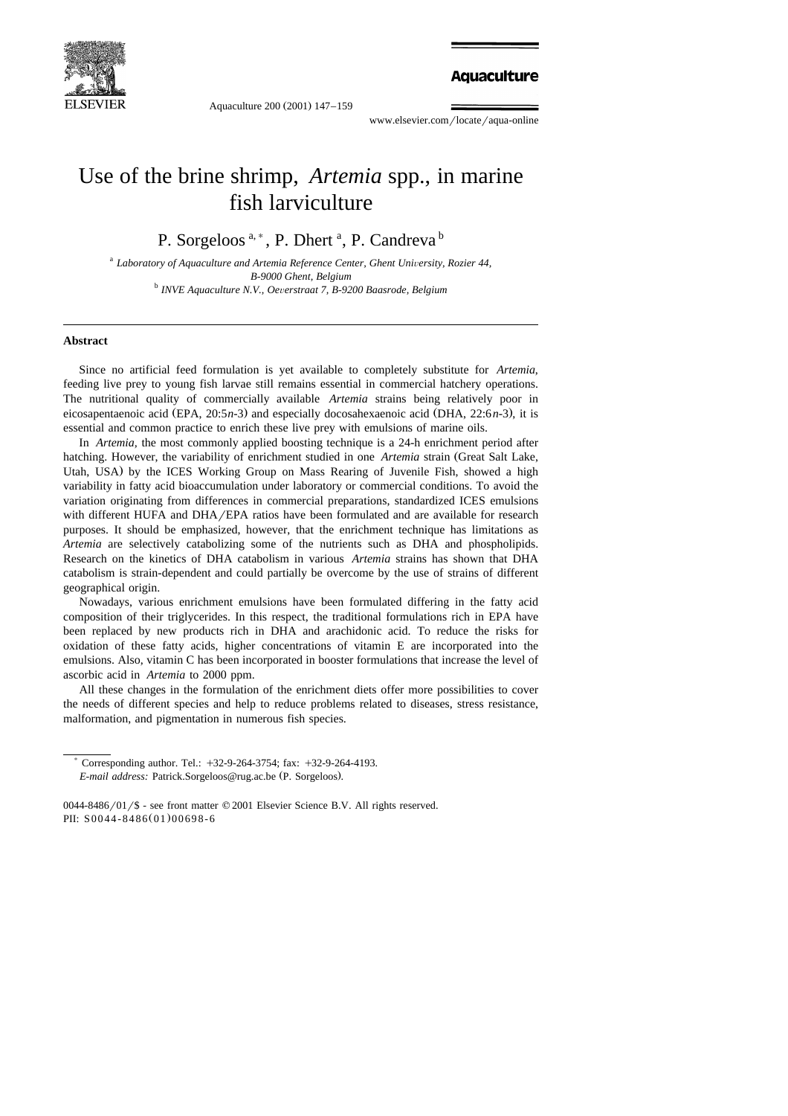

Aquaculture 200 (2001) 147-159

**Aquaculture** 

www.elsevier.com/locate/aqua-online

# Use of the brine shrimp, *Artemia* spp., in marine fish larviculture

P. Sorgeloos<sup>a,\*</sup>, P. Dhert<sup>a</sup>, P. Candreva<sup>b</sup>

<sup>a</sup> Laboratory of Aquaculture and Artemia Reference Center, Ghent University, Rozier 44, *B-9000 Ghent, Belgium* <sup>b</sup> *INVE Aquaculture N.V., Oe*Õ*erstraat 7, B-9200 Baasrode, Belgium*

#### **Abstract**

Since no artificial feed formulation is yet available to completely substitute for *Artemia*, feeding live prey to young fish larvae still remains essential in commercial hatchery operations. The nutritional quality of commercially available *Artemia* strains being relatively poor in eicosapentaenoic acid (EPA, 20:5*n*-3) and especially docosahexaenoic acid (DHA, 22:6*n*-3), it is essential and common practice to enrich these live prey with emulsions of marine oils.

In *Artemia,* the most commonly applied boosting technique is a 24-h enrichment period after hatching. However, the variability of enrichment studied in one *Artemia* strain (Great Salt Lake, Utah, USA) by the ICES Working Group on Mass Rearing of Juvenile Fish, showed a high variability in fatty acid bioaccumulation under laboratory or commercial conditions. To avoid the variation originating from differences in commercial preparations, standardized ICES emulsions with different HUFA and  $DHA/EPA$  ratios have been formulated and are available for research purposes. It should be emphasized, however, that the enrichment technique has limitations as *Artemia* are selectively catabolizing some of the nutrients such as DHA and phospholipids. Research on the kinetics of DHA catabolism in various *Artemia* strains has shown that DHA catabolism is strain-dependent and could partially be overcome by the use of strains of different geographical origin.

Nowadays, various enrichment emulsions have been formulated differing in the fatty acid composition of their triglycerides. In this respect, the traditional formulations rich in EPA have been replaced by new products rich in DHA and arachidonic acid. To reduce the risks for oxidation of these fatty acids, higher concentrations of vitamin E are incorporated into the emulsions. Also, vitamin C has been incorporated in booster formulations that increase the level of ascorbic acid in *Artemia* to 2000 ppm.

All these changes in the formulation of the enrichment diets offer more possibilities to cover the needs of different species and help to reduce problems related to diseases, stress resistance, malformation, and pigmentation in numerous fish species.

Corresponding author. Tel.: +32-9-264-3754; fax: +32-9-264-4193. *E-mail address: Patrick.Sorgeloos@rug.ac.be (P. Sorgeloos).*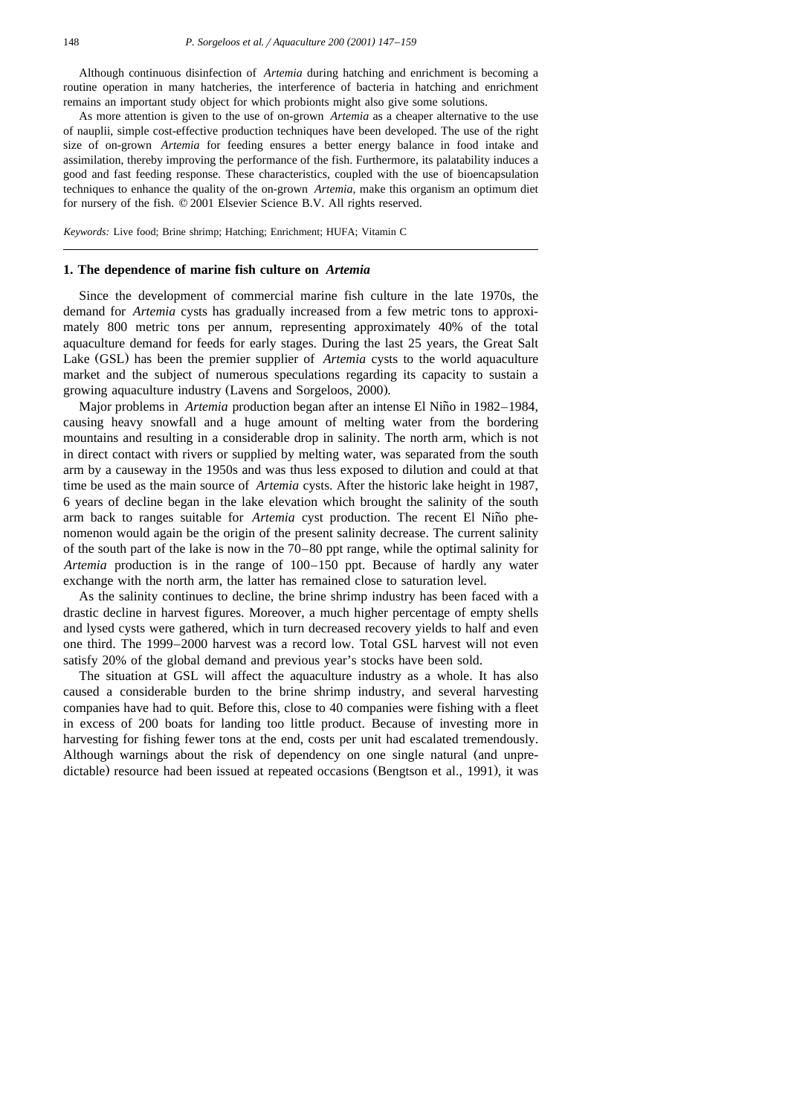Although continuous disinfection of *Artemia* during hatching and enrichment is becoming a routine operation in many hatcheries, the interference of bacteria in hatching and enrichment remains an important study object for which probionts might also give some solutions.

As more attention is given to the use of on-grown *Artemia* as a cheaper alternative to the use of nauplii, simple cost-effective production techniques have been developed. The use of the right size of on-grown *Artemia* for feeding ensures a better energy balance in food intake and assimilation, thereby improving the performance of the fish. Furthermore, its palatability induces a good and fast feeding response. These characteristics, coupled with the use of bioencapsulation techniques to enhance the quality of the on-grown *Artemia*, make this organism an optimum diet for nursery of the fish.  $© 2001$  Elsevier Science B.V. All rights reserved.

*Keywords:* Live food; Brine shrimp; Hatching; Enrichment; HUFA; Vitamin C

## **1. The dependence of marine fish culture on** *Artemia*

Since the development of commercial marine fish culture in the late 1970s, the demand for *Artemia* cysts has gradually increased from a few metric tons to approximately 800 metric tons per annum, representing approximately 40% of the total aquaculture demand for feeds for early stages. During the last 25 years, the Great Salt Lake (GSL) has been the premier supplier of *Artemia* cysts to the world aquaculture market and the subject of numerous speculations regarding its capacity to sustain a growing aquaculture industry (Lavens and Sorgeloos, 2000).

Major problems in *Artemia* production began after an intense El Niño in 1982–1984, causing heavy snowfall and a huge amount of melting water from the bordering mountains and resulting in a considerable drop in salinity. The north arm, which is not in direct contact with rivers or supplied by melting water, was separated from the south arm by a causeway in the 1950s and was thus less exposed to dilution and could at that time be used as the main source of *Artemia* cysts. After the historic lake height in 1987, 6 years of decline began in the lake elevation which brought the salinity of the south arm back to ranges suitable for *Artemia* cyst production. The recent El Niño phenomenon would again be the origin of the present salinity decrease. The current salinity of the south part of the lake is now in the 70–80 ppt range, while the optimal salinity for *Artemia* production is in the range of 100–150 ppt. Because of hardly any water exchange with the north arm, the latter has remained close to saturation level.

As the salinity continues to decline, the brine shrimp industry has been faced with a drastic decline in harvest figures. Moreover, a much higher percentage of empty shells and lysed cysts were gathered, which in turn decreased recovery yields to half and even one third. The 1999–2000 harvest was a record low. Total GSL harvest will not even satisfy 20% of the global demand and previous year's stocks have been sold.

The situation at GSL will affect the aquaculture industry as a whole. It has also caused a considerable burden to the brine shrimp industry, and several harvesting companies have had to quit. Before this, close to 40 companies were fishing with a fleet in excess of 200 boats for landing too little product. Because of investing more in harvesting for fishing fewer tons at the end, costs per unit had escalated tremendously. Although warnings about the risk of dependency on one single natural (and unpredictable) resource had been issued at repeated occasions (Bengtson et al., 1991), it was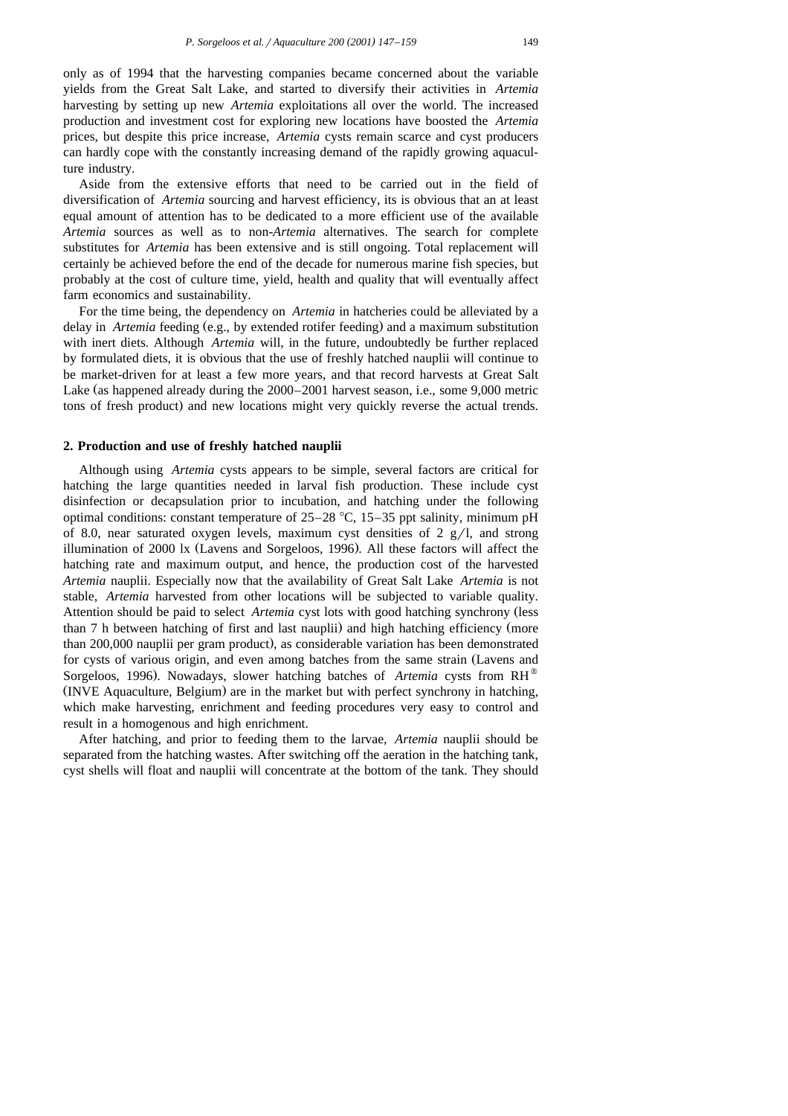only as of 1994 that the harvesting companies became concerned about the variable yields from the Great Salt Lake, and started to diversify their activities in *Artemia* harvesting by setting up new *Artemia* exploitations all over the world. The increased production and investment cost for exploring new locations have boosted the *Artemia* prices, but despite this price increase, *Artemia* cysts remain scarce and cyst producers can hardly cope with the constantly increasing demand of the rapidly growing aquaculture industry.

Aside from the extensive efforts that need to be carried out in the field of diversification of *Artemia* sourcing and harvest efficiency, its is obvious that an at least equal amount of attention has to be dedicated to a more efficient use of the available *Artemia* sources as well as to non-*Artemia* alternatives. The search for complete substitutes for *Artemia* has been extensive and is still ongoing. Total replacement will certainly be achieved before the end of the decade for numerous marine fish species, but probably at the cost of culture time, yield, health and quality that will eventually affect farm economics and sustainability.

For the time being, the dependency on *Artemia* in hatcheries could be alleviated by a delay in *Artemia* feeding (e.g., by extended rotifer feeding) and a maximum substitution with inert diets. Although *Artemia* will, in the future, undoubtedly be further replaced by formulated diets, it is obvious that the use of freshly hatched nauplii will continue to be market-driven for at least a few more years, and that record harvests at Great Salt Lake (as happened already during the  $2000-2001$  harvest season, i.e., some  $9,000$  metric tons of fresh product) and new locations might very quickly reverse the actual trends.

#### **2. Production and use of freshly hatched nauplii**

Although using *Artemia* cysts appears to be simple, several factors are critical for hatching the large quantities needed in larval fish production. These include cyst disinfection or decapsulation prior to incubation, and hatching under the following optimal conditions: constant temperature of  $25-28$  °C,  $15-35$  ppt salinity, minimum pH of 8.0, near saturated oxygen levels, maximum cyst densities of 2  $g/l$ , and strong illumination of 2000 lx (Lavens and Sorgeloos, 1996). All these factors will affect the hatching rate and maximum output, and hence, the production cost of the harvested *Artemia* nauplii. Especially now that the availability of Great Salt Lake *Artemia* is not stable, *Artemia* harvested from other locations will be subjected to variable quality. Attention should be paid to select *Artemia* cyst lots with good hatching synchrony (less than 7 h between hatching of first and last nauplii) and high hatching efficiency (more than 200,000 nauplii per gram product), as considerable variation has been demonstrated for cysts of various origin, and even among batches from the same strain Lavens and Ž Sorgeloos, 1996). Nowadays, slower hatching batches of *Artemia* cysts from RH<sup>®</sup> (INVE Aquaculture, Belgium) are in the market but with perfect synchrony in hatching, which make harvesting, enrichment and feeding procedures very easy to control and result in a homogenous and high enrichment.

After hatching, and prior to feeding them to the larvae, *Artemia* nauplii should be separated from the hatching wastes. After switching off the aeration in the hatching tank, cyst shells will float and nauplii will concentrate at the bottom of the tank. They should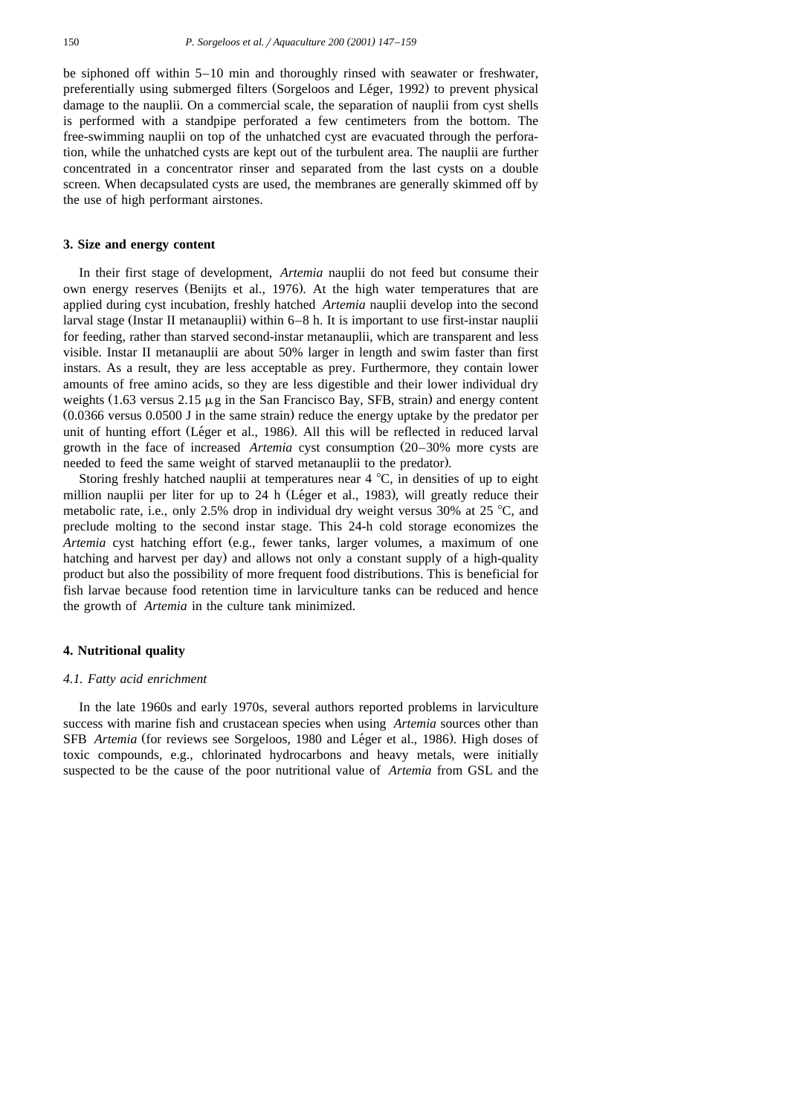be siphoned off within 5–10 min and thoroughly rinsed with seawater or freshwater, preferentially using submerged filters (Sorgeloos and Léger, 1992) to prevent physical damage to the nauplii. On a commercial scale, the separation of nauplii from cyst shells is performed with a standpipe perforated a few centimeters from the bottom. The free-swimming nauplii on top of the unhatched cyst are evacuated through the perforation, while the unhatched cysts are kept out of the turbulent area. The nauplii are further concentrated in a concentrator rinser and separated from the last cysts on a double screen. When decapsulated cysts are used, the membranes are generally skimmed off by the use of high performant airstones.

## **3. Size and energy content**

In their first stage of development, *Artemia* nauplii do not feed but consume their own energy reserves (Benijts et al., 1976). At the high water temperatures that are applied during cyst incubation, freshly hatched *Artemia* nauplii develop into the second larval stage (Instar II metanauplii) within  $6-8$  h. It is important to use first-instar nauplii for feeding, rather than starved second-instar metanauplii, which are transparent and less visible. Instar II metanauplii are about 50% larger in length and swim faster than first instars. As a result, they are less acceptable as prey. Furthermore, they contain lower amounts of free amino acids, so they are less digestible and their lower individual dry weights  $(1.63 \text{ versus } 2.15 \mu g)$  in the San Francisco Bay, SFB, strain) and energy content  $(0.0366$  versus  $0.0500$  J in the same strain) reduce the energy uptake by the predator per unit of hunting effort (Léger et al., 1986). All this will be reflected in reduced larval growth in the face of increased *Artemia* cyst consumption 20–30% more cysts are Ž needed to feed the same weight of starved metanauplii to the predator).

Storing freshly hatched nauplii at temperatures near  $4^{\circ}C$ , in densities of up to eight million nauplii per liter for up to 24 h (Léger et al., 1983), will greatly reduce their metabolic rate, i.e., only 2.5% drop in individual dry weight versus 30% at 25 °C, and preclude molting to the second instar stage. This 24-h cold storage economizes the *Artemia* cyst hatching effort (e.g., fewer tanks, larger volumes, a maximum of one hatching and harvest per day) and allows not only a constant supply of a high-quality product but also the possibility of more frequent food distributions. This is beneficial for fish larvae because food retention time in larviculture tanks can be reduced and hence the growth of *Artemia* in the culture tank minimized.

# **4. Nutritional quality**

#### *4.1. Fatty acid enrichment*

In the late 1960s and early 1970s, several authors reported problems in larviculture success with marine fish and crustacean species when using *Artemia* sources other than SFB *Artemia* (for reviews see Sorgeloos, 1980 and Léger et al., 1986). High doses of toxic compounds, e.g., chlorinated hydrocarbons and heavy metals, were initially suspected to be the cause of the poor nutritional value of *Artemia* from GSL and the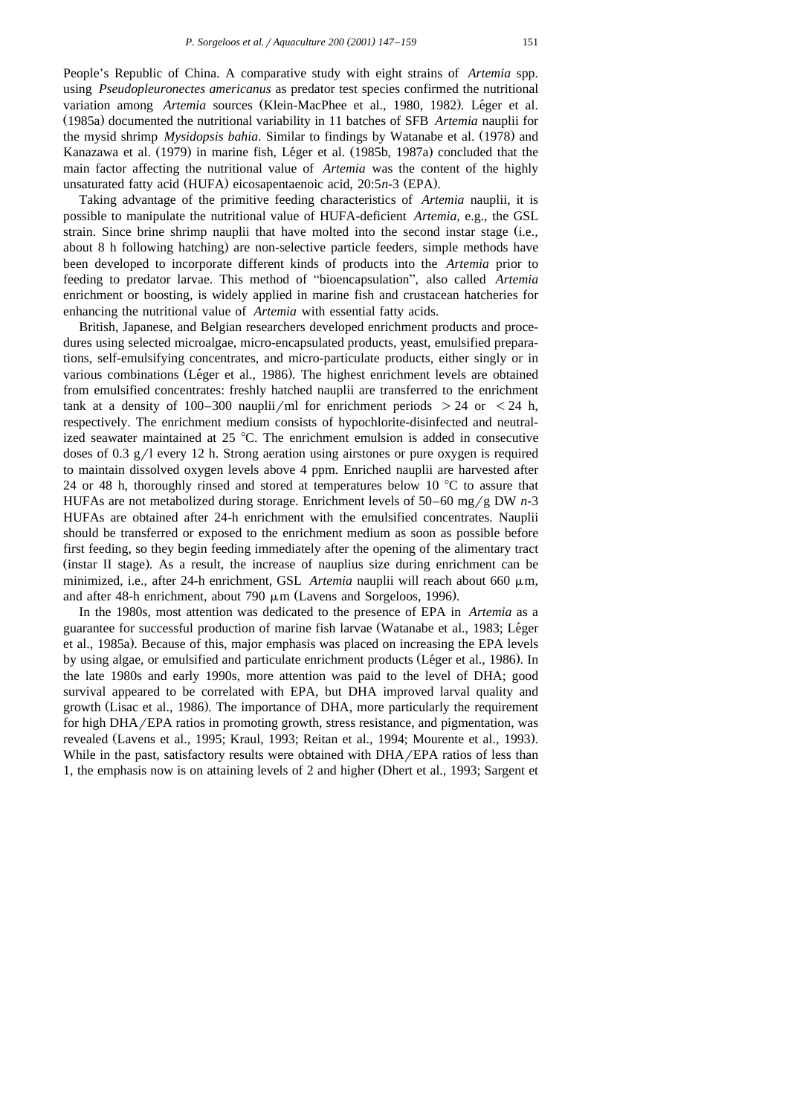People's Republic of China. A comparative study with eight strains of *Artemia* spp. using *Pseudopleuronectes americanus* as predator test species confirmed the nutritional variation among Artemia sources (Klein-MacPhee et al., 1980, 1982). Léger et al. Ž . 1985a documented the nutritional variability in 11 batches of SFB *Artemia* nauplii for the mysid shrimp *Mysidopsis bahia*. Similar to findings by Watanabe et al. (1978) and Kanazawa et al. (1979) in marine fish, Léger et al. (1985b, 1987a) concluded that the main factor affecting the nutritional value of *Artemia* was the content of the highly unsaturated fatty acid (HUFA) eicosapentaenoic acid, 20:5n-3 (EPA).

Taking advantage of the primitive feeding characteristics of *Artemia* nauplii, it is possible to manipulate the nutritional value of HUFA-deficient *Artemia*, e.g., the GSL strain. Since brine shrimp nauplii that have molted into the second instar stage  $(i.e.,$ about 8 h following hatching) are non-selective particle feeders, simple methods have been developed to incorporate different kinds of products into the *Artemia* prior to feeding to predator larvae. This method of "bioencapsulation", also called *Artemia* enrichment or boosting, is widely applied in marine fish and crustacean hatcheries for enhancing the nutritional value of *Artemia* with essential fatty acids.

British, Japanese, and Belgian researchers developed enrichment products and procedures using selected microalgae, micro-encapsulated products, yeast, emulsified preparations, self-emulsifying concentrates, and micro-particulate products, either singly or in various combinations (Léger et al., 1986). The highest enrichment levels are obtained from emulsified concentrates: freshly hatched nauplii are transferred to the enrichment tank at a density of 100–300 nauplii/ml for enrichment periods  $> 24$  or  $< 24$  h, respectively. The enrichment medium consists of hypochlorite-disinfected and neutralized seawater maintained at  $25 \text{ °C}$ . The enrichment emulsion is added in consecutive doses of 0.3  $g/1$  every 12 h. Strong aeration using airstones or pure oxygen is required to maintain dissolved oxygen levels above 4 ppm. Enriched nauplii are harvested after 24 or 48 h, thoroughly rinsed and stored at temperatures below 10  $\degree$ C to assure that HUFAs are not metabolized during storage. Enrichment levels of  $50-60$  mg/g DW  $n-3$ HUFAs are obtained after 24-h enrichment with the emulsified concentrates. Nauplii should be transferred or exposed to the enrichment medium as soon as possible before first feeding, so they begin feeding immediately after the opening of the alimentary tract  $($ instar II stage). As a result, the increase of nauplius size during enrichment can be minimized, i.e., after 24-h enrichment, GSL *Artemia* nauplii will reach about 660  $\mu$ m, and after 48-h enrichment, about 790  $\mu$ m (Lavens and Sorgeloos, 1996).

In the 1980s, most attention was dedicated to the presence of EPA in *Artemia* as a guarantee for successful production of marine fish larvae (Watanabe et al., 1983; Léger et al., 1985a). Because of this, major emphasis was placed on increasing the EPA levels by using algae, or emulsified and particulate enrichment products (Léger et al., 1986). In the late 1980s and early 1990s, more attention was paid to the level of DHA; good survival appeared to be correlated with EPA, but DHA improved larval quality and growth (Lisac et al., 1986). The importance of DHA, more particularly the requirement for high  $DHA/EPA$  ratios in promoting growth, stress resistance, and pigmentation, was revealed (Lavens et al., 1995; Kraul, 1993; Reitan et al., 1994; Mourente et al., 1993). While in the past, satisfactory results were obtained with  $DHA/EPA$  ratios of less than 1, the emphasis now is on attaining levels of 2 and higher (Dhert et al., 1993; Sargent et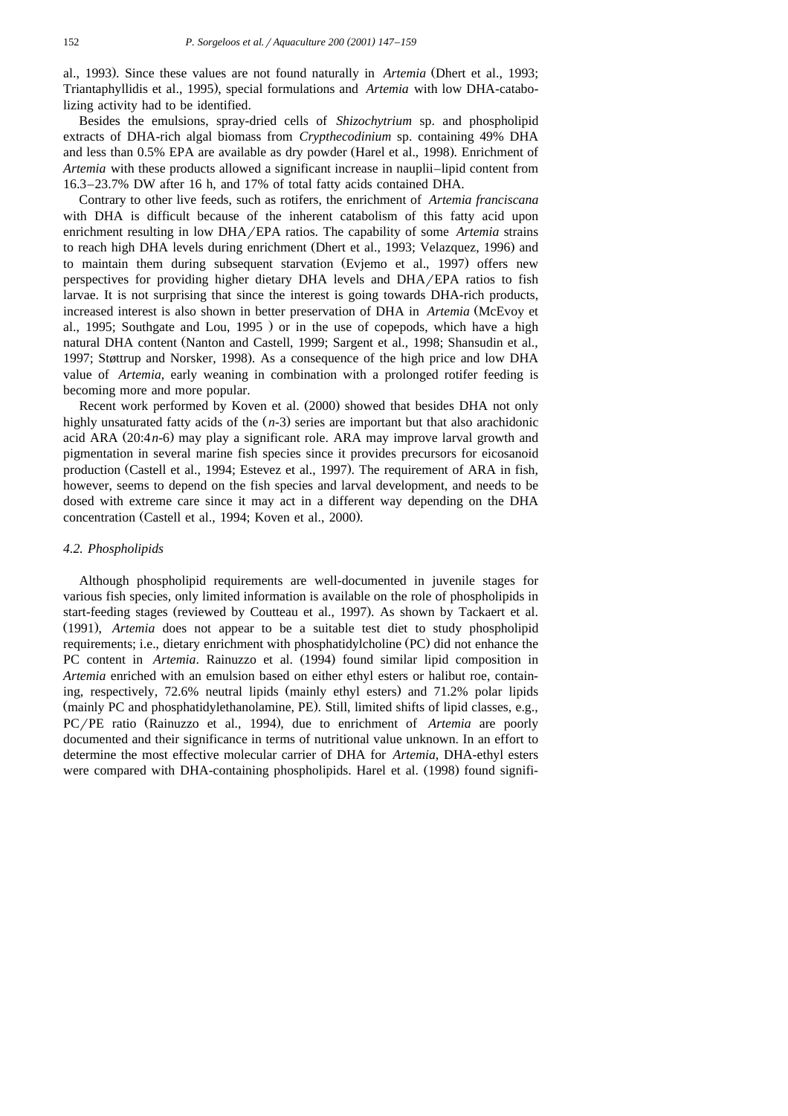al., 1993). Since these values are not found naturally in *Artemia* (Dhert et al., 1993; Triantaphyllidis et al., 1995), special formulations and *Artemia* with low DHA-catabolizing activity had to be identified.

Besides the emulsions, spray-dried cells of *Shizochytrium* sp. and phospholipid extracts of DHA-rich algal biomass from *Crypthecodinium* sp. containing 49% DHA and less than 0.5% EPA are available as dry powder (Harel et al., 1998). Enrichment of *Artemia* with these products allowed a significant increase in nauplii–lipid content from 16.3–23.7% DW after 16 h, and 17% of total fatty acids contained DHA.

Contrary to other live feeds, such as rotifers, the enrichment of *Artemia franciscana* with DHA is difficult because of the inherent catabolism of this fatty acid upon enrichment resulting in low DHA/EPA ratios. The capability of some *Artemia* strains to reach high DHA levels during enrichment (Dhert et al., 1993; Velazquez, 1996) and to maintain them during subsequent starvation (Evjemo et al., 1997) offers new perspectives for providing higher dietary DHA levels and DHA/EPA ratios to fish larvae. It is not surprising that since the interest is going towards DHA-rich products, increased interest is also shown in better preservation of DHA in *Artemia* (McEvoy et al., 1995; Southgate and Lou, 1995  $\prime$  or in the use of copepods, which have a high natural DHA content (Nanton and Castell, 1999; Sargent et al., 1998; Shansudin et al., 1997; Støttrup and Norsker, 1998). As a consequence of the high price and low DHA value of *Artemia,* early weaning in combination with a prolonged rotifer feeding is becoming more and more popular.

Recent work performed by Koven et al. (2000) showed that besides DHA not only highly unsaturated fatty acids of the  $(n-3)$  series are important but that also arachidonic acid ARA  $(20:4n-6)$  may play a significant role. ARA may improve larval growth and pigmentation in several marine fish species since it provides precursors for eicosanoid production (Castell et al., 1994; Estevez et al., 1997). The requirement of ARA in fish, however, seems to depend on the fish species and larval development, and needs to be dosed with extreme care since it may act in a different way depending on the DHA concentration (Castell et al., 1994; Koven et al., 2000).

#### *4.2. Phospholipids*

Although phospholipid requirements are well-documented in juvenile stages for various fish species, only limited information is available on the role of phospholipids in start-feeding stages (reviewed by Coutteau et al., 1997). As shown by Tackaert et al. Ž . 1991 , *Artemia* does not appear to be a suitable test diet to study phospholipid requirements; i.e., dietary enrichment with phosphatidylcholine (PC) did not enhance the PC content in *Artemia*. Rainuzzo et al. (1994) found similar lipid composition in *Artemia* enriched with an emulsion based on either ethyl esters or halibut roe, containing, respectively, 72.6% neutral lipids (mainly ethyl esters) and 71.2% polar lipids (mainly PC and phosphatidylethanolamine, PE). Still, limited shifts of lipid classes, e.g., PC/PE ratio (Rainuzzo et al., 1994), due to enrichment of *Artemia* are poorly documented and their significance in terms of nutritional value unknown. In an effort to determine the most effective molecular carrier of DHA for *Artemia*, DHA-ethyl esters were compared with DHA-containing phospholipids. Harel et al. (1998) found signifi-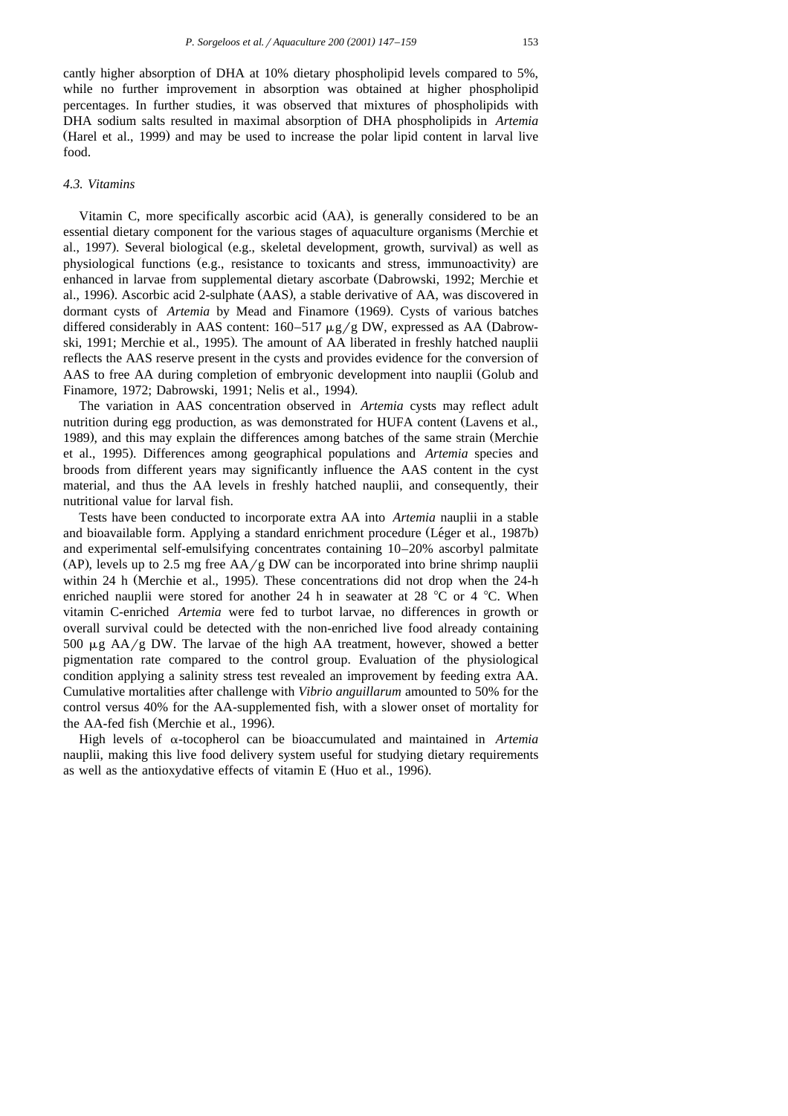cantly higher absorption of DHA at 10% dietary phospholipid levels compared to 5%, while no further improvement in absorption was obtained at higher phospholipid percentages. In further studies, it was observed that mixtures of phospholipids with DHA sodium salts resulted in maximal absorption of DHA phospholipids in *Artemia* (Harel et al., 1999) and may be used to increase the polar lipid content in larval live food.

# *4.3. Vitamins*

Vitamin C, more specifically ascorbic acid (AA), is generally considered to be an essential dietary component for the various stages of aquaculture organisms (Merchie et al., 1997). Several biological (e.g., skeletal development, growth, survival) as well as physiological functions (e.g., resistance to toxicants and stress, immunoactivity) are enhanced in larvae from supplemental dietary ascorbate (Dabrowski, 1992; Merchie et al., 1996). Ascorbic acid 2-sulphate (AAS), a stable derivative of AA, was discovered in dormant cysts of *Artemia* by Mead and Finamore (1969). Cysts of various batches differed considerably in AAS content:  $160-517 \mu g/g$  DW, expressed as AA (Dabrowski, 1991; Merchie et al., 1995). The amount of AA liberated in freshly hatched nauplii reflects the AAS reserve present in the cysts and provides evidence for the conversion of AAS to free AA during completion of embryonic development into nauplii Golub and Ž Finamore, 1972; Dabrowski, 1991; Nelis et al., 1994).

The variation in AAS concentration observed in *Artemia* cysts may reflect adult nutrition during egg production, as was demonstrated for HUFA content (Lavens et al., 1989), and this may explain the differences among batches of the same strain (Merchie et al., 1995). Differences among geographical populations and *Artemia* species and broods from different years may significantly influence the AAS content in the cyst material, and thus the AA levels in freshly hatched nauplii, and consequently, their nutritional value for larval fish.

Tests have been conducted to incorporate extra AA into *Artemia* nauplii in a stable and bioavailable form. Applying a standard enrichment procedure (Léger et al., 1987b) and experimental self-emulsifying concentrates containing 10–20% ascorbyl palmitate (AP), levels up to 2.5 mg free  $AA/g$  DW can be incorporated into brine shrimp nauplii within 24 h (Merchie et al., 1995). These concentrations did not drop when the  $24-h$ enriched nauplii were stored for another 24 h in seawater at 28  $^{\circ}$ C or 4  $^{\circ}$ C. When vitamin C-enriched *Artemia* were fed to turbot larvae, no differences in growth or overall survival could be detected with the non-enriched live food already containing 500  $\mu$ g AA/g DW. The larvae of the high AA treatment, however, showed a better pigmentation rate compared to the control group. Evaluation of the physiological condition applying a salinity stress test revealed an improvement by feeding extra AA. Cumulative mortalities after challenge with *Vibrio anguillarum* amounted to 50% for the control versus 40% for the AA-supplemented fish, with a slower onset of mortality for the AA-fed fish (Merchie et al., 1996).

High levels of  $\alpha$ -tocopherol can be bioaccumulated and maintained in *Artemia* nauplii, making this live food delivery system useful for studying dietary requirements as well as the antioxydative effects of vitamin E (Huo et al., 1996).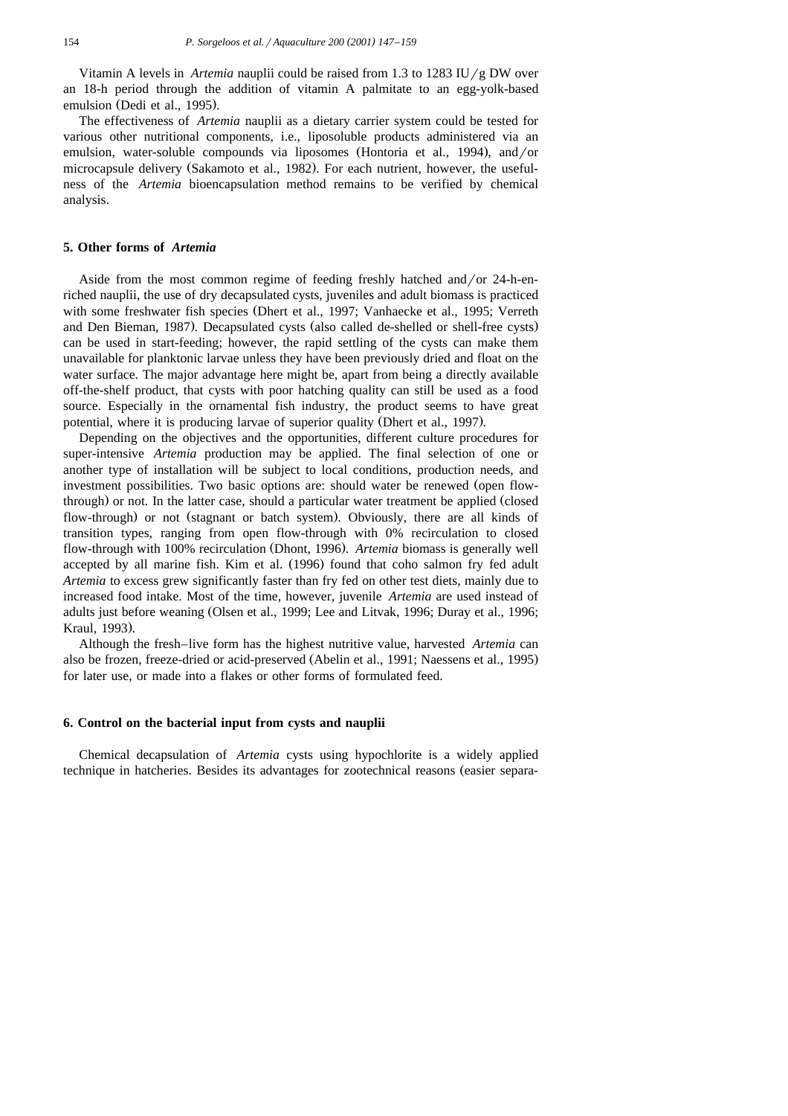Vitamin A levels in *Artemia* nauplii could be raised from 1.3 to 1283 IU/g DW over an 18-h period through the addition of vitamin A palmitate to an egg-yolk-based emulsion (Dedi et al., 1995).

The effectiveness of *Artemia* nauplii as a dietary carrier system could be tested for various other nutritional components, i.e., liposoluble products administered via an emulsion, water-soluble compounds via liposomes (Hontoria et al., 1994), and/or microcapsule delivery (Sakamoto et al., 1982). For each nutrient, however, the usefulness of the *Artemia* bioencapsulation method remains to be verified by chemical analysis.

# **5. Other forms of** *Artemia*

Aside from the most common regime of feeding freshly hatched and/or  $24$ -h-enriched nauplii, the use of dry decapsulated cysts, juveniles and adult biomass is practiced with some freshwater fish species (Dhert et al., 1997; Vanhaecke et al., 1995; Verreth and Den Bieman, 1987). Decapsulated cysts (also called de-shelled or shell-free cysts) can be used in start-feeding; however, the rapid settling of the cysts can make them unavailable for planktonic larvae unless they have been previously dried and float on the water surface. The major advantage here might be, apart from being a directly available off-the-shelf product, that cysts with poor hatching quality can still be used as a food source. Especially in the ornamental fish industry, the product seems to have great potential, where it is producing larvae of superior quality (Dhert et al., 1997).

Depending on the objectives and the opportunities, different culture procedures for super-intensive *Artemia* production may be applied. The final selection of one or another type of installation will be subject to local conditions, production needs, and investment possibilities. Two basic options are: should water be renewed (open flowthrough) or not. In the latter case, should a particular water treatment be applied (closed flow-through) or not (stagnant or batch system). Obviously, there are all kinds of transition types, ranging from open flow-through with 0% recirculation to closed flow-through with 100% recirculation (Dhont, 1996). Artemia biomass is generally well accepted by all marine fish. Kim et al.  $(1996)$  found that coho salmon fry fed adult *Artemia* to excess grew significantly faster than fry fed on other test diets, mainly due to increased food intake. Most of the time, however, juvenile *Artemia* are used instead of adults just before weaning (Olsen et al., 1999; Lee and Litvak, 1996; Duray et al., 1996; Kraul, 1993).

Although the fresh–live form has the highest nutritive value, harvested *Artemia* can also be frozen, freeze-dried or acid-preserved (Abelin et al., 1991; Naessens et al., 1995) for later use, or made into a flakes or other forms of formulated feed.

# **6. Control on the bacterial input from cysts and nauplii**

Chemical decapsulation of *Artemia* cysts using hypochlorite is a widely applied technique in hatcheries. Besides its advantages for zootechnical reasons (easier separa-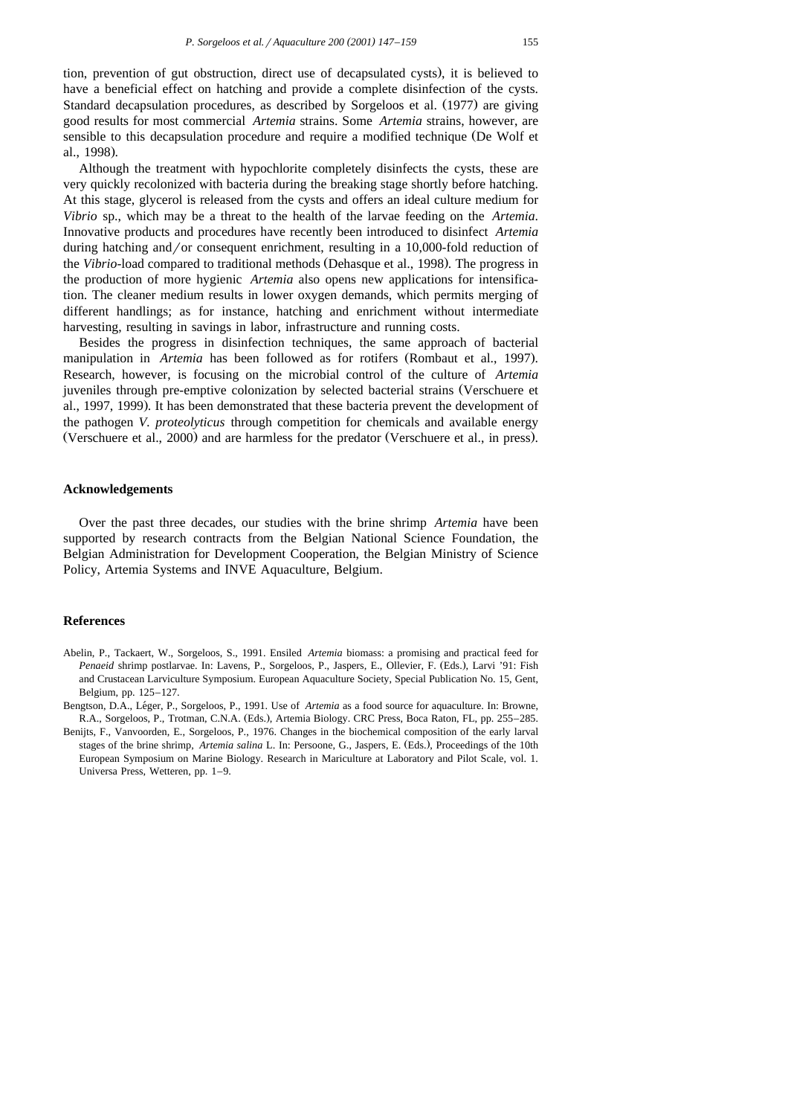tion, prevention of gut obstruction, direct use of decapsulated cysts , it is believed to . have a beneficial effect on hatching and provide a complete disinfection of the cysts. Standard decapsulation procedures, as described by Sorgeloos et al. (1977) are giving good results for most commercial *Artemia* strains. Some *Artemia* strains, however, are sensible to this decapsulation procedure and require a modified technique (De Wolf et al., 1998).

Although the treatment with hypochlorite completely disinfects the cysts, these are very quickly recolonized with bacteria during the breaking stage shortly before hatching. At this stage, glycerol is released from the cysts and offers an ideal culture medium for *Vibrio* sp., which may be a threat to the health of the larvae feeding on the *Artemia*. Innovative products and procedures have recently been introduced to disinfect *Artemia* during hatching and /or consequent enrichment, resulting in a 10,000-fold reduction of the *Vibrio*-load compared to traditional methods (Dehasque et al., 1998). The progress in the production of more hygienic *Artemia* also opens new applications for intensification. The cleaner medium results in lower oxygen demands, which permits merging of different handlings; as for instance, hatching and enrichment without intermediate harvesting, resulting in savings in labor, infrastructure and running costs.

Besides the progress in disinfection techniques, the same approach of bacterial manipulation in *Artemia* has been followed as for rotifers (Rombaut et al., 1997). Research, however, is focusing on the microbial control of the culture of *Artemia* juveniles through pre-emptive colonization by selected bacterial strains (Verschuere et al., 1997, 1999). It has been demonstrated that these bacteria prevent the development of the pathogen *V. proteolyticus* through competition for chemicals and available energy (Verschuere et al., 2000) and are harmless for the predator (Verschuere et al., in press).

# **Acknowledgements**

Over the past three decades, our studies with the brine shrimp *Artemia* have been supported by research contracts from the Belgian National Science Foundation, the Belgian Administration for Development Cooperation, the Belgian Ministry of Science Policy, Artemia Systems and INVE Aquaculture, Belgium.

# **References**

- Abelin, P., Tackaert, W., Sorgeloos, S., 1991. Ensiled *Artemia* biomass: a promising and practical feed for *Penaeid* shrimp postlarvae. In: Lavens, P., Sorgeloos, P., Jaspers, E., Ollevier, F. (Eds.), Larvi '91: Fish and Crustacean Larviculture Symposium. European Aquaculture Society, Special Publication No. 15, Gent, Belgium, pp. 125–127.
- Bengtson, D.A., Léger, P., Sorgeloos, P., 1991. Use of *Artemia* as a food source for aquaculture. In: Browne, R.A., Sorgeloos, P., Trotman, C.N.A. (Eds.), Artemia Biology. CRC Press, Boca Raton, FL, pp. 255-285.
- Benijts, F., Vanvoorden, E., Sorgeloos, P., 1976. Changes in the biochemical composition of the early larval stages of the brine shrimp, *Artemia salina* L. In: Persoone, G., Jaspers, E. (Eds.), Proceedings of the 10th European Symposium on Marine Biology. Research in Mariculture at Laboratory and Pilot Scale, vol. 1. Universa Press, Wetteren, pp. 1–9.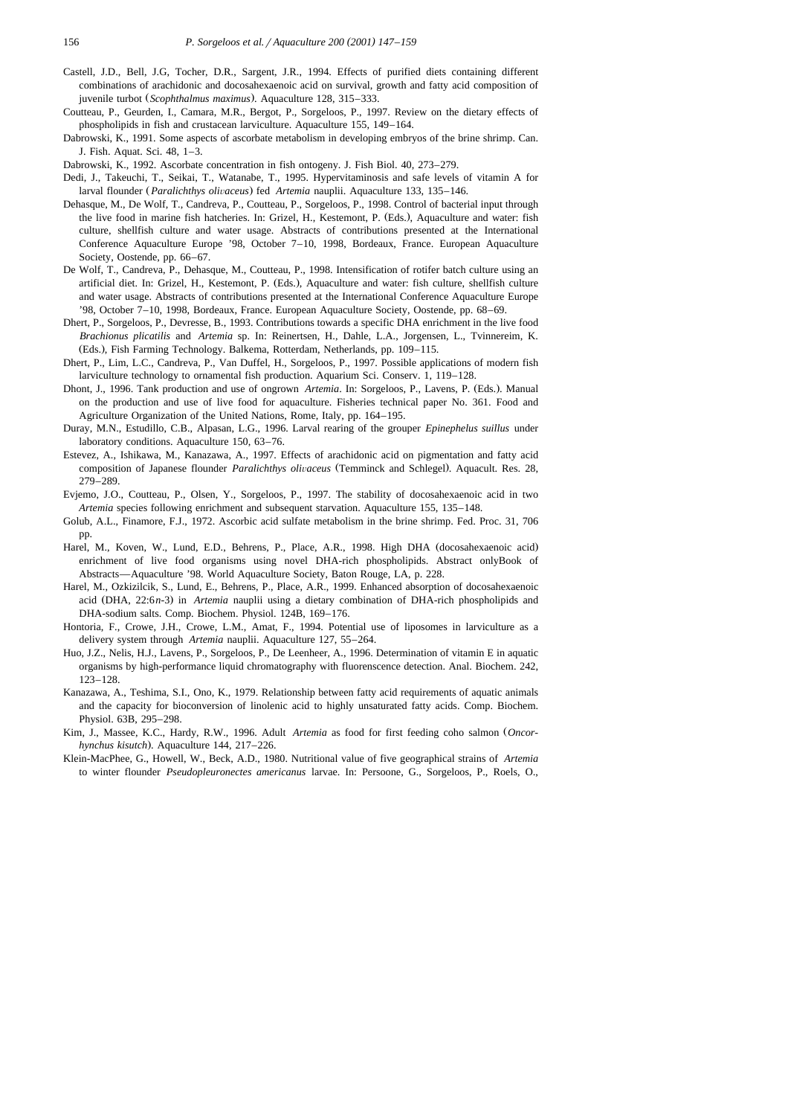- Castell, J.D., Bell, J.G, Tocher, D.R., Sargent, J.R., 1994. Effects of purified diets containing different combinations of arachidonic and docosahexaenoic acid on survival, growth and fatty acid composition of juvenile turbot (Scophthalmus maximus). Aquaculture 128, 315–333.
- Coutteau, P., Geurden, I., Camara, M.R., Bergot, P., Sorgeloos, P., 1997. Review on the dietary effects of phospholipids in fish and crustacean larviculture. Aquaculture 155, 149–164.
- Dabrowski, K., 1991. Some aspects of ascorbate metabolism in developing embryos of the brine shrimp. Can. J. Fish. Aquat. Sci. 48, 1–3.
- Dabrowski, K., 1992. Ascorbate concentration in fish ontogeny. J. Fish Biol. 40, 273–279.
- Dedi, J., Takeuchi, T., Seikai, T., Watanabe, T., 1995. Hypervitaminosis and safe levels of vitamin A for larval flounder (*Paralichthys olivaceus*) fed *Artemia* nauplii. Aquaculture 133, 135–146.
- Dehasque, M., De Wolf, T., Candreva, P., Coutteau, P., Sorgeloos, P., 1998. Control of bacterial input through the live food in marine fish hatcheries. In: Grizel, H., Kestemont, P. (Eds.), Aquaculture and water: fish culture, shellfish culture and water usage. Abstracts of contributions presented at the International Conference Aquaculture Europe '98, October 7–10, 1998, Bordeaux, France. European Aquaculture Society, Oostende, pp. 66–67.
- De Wolf, T., Candreva, P., Dehasque, M., Coutteau, P., 1998. Intensification of rotifer batch culture using an artificial diet. In: Grizel, H., Kestemont, P. (Eds.), Aquaculture and water: fish culture, shellfish culture and water usage. Abstracts of contributions presented at the International Conference Aquaculture Europe '98, October 7–10, 1998, Bordeaux, France. European Aquaculture Society, Oostende, pp. 68–69.
- Dhert, P., Sorgeloos, P., Devresse, B., 1993. Contributions towards a specific DHA enrichment in the live food *Brachionus plicatilis* and *Artemia* sp. In: Reinertsen, H., Dahle, L.A., Jorgensen, L., Tvinnereim, K. (Eds.), Fish Farming Technology. Balkema, Rotterdam, Netherlands, pp. 109-115.
- Dhert, P., Lim, L.C., Candreva, P., Van Duffel, H., Sorgeloos, P., 1997. Possible applications of modern fish larviculture technology to ornamental fish production. Aquarium Sci. Conserv. 1, 119–128.
- Dhont, J., 1996. Tank production and use of ongrown *Artemia*. In: Sorgeloos, P., Lavens, P. (Eds.). Manual on the production and use of live food for aquaculture. Fisheries technical paper No. 361. Food and Agriculture Organization of the United Nations, Rome, Italy, pp. 164–195.
- Duray, M.N., Estudillo, C.B., Alpasan, L.G., 1996. Larval rearing of the grouper *Epinephelus suillus* under laboratory conditions. Aquaculture 150, 63–76.
- Estevez, A., Ishikawa, M., Kanazawa, A., 1997. Effects of arachidonic acid on pigmentation and fatty acid composition of Japanese flounder *Paralichthys olivaceus* (Temminck and Schlegel). Aquacult. Res. 28, 279–289.
- Evjemo, J.O., Coutteau, P., Olsen, Y., Sorgeloos, P., 1997. The stability of docosahexaenoic acid in two *Artemia* species following enrichment and subsequent starvation. Aquaculture 155, 135–148.
- Golub, A.L., Finamore, F.J., 1972. Ascorbic acid sulfate metabolism in the brine shrimp. Fed. Proc. 31, 706 pp.
- Harel, M., Koven, W., Lund, E.D., Behrens, P., Place, A.R., 1998. High DHA (docosahexaenoic acid) enrichment of live food organisms using novel DHA-rich phospholipids. Abstract onlyBook of Abstracts—Aquaculture '98. World Aquaculture Society, Baton Rouge, LA, p. 228.
- Harel, M., Ozkizilcik, S., Lund, E., Behrens, P., Place, A.R., 1999. Enhanced absorption of docosahexaenoic acid (DHA, 22:6n-3) in *Artemia* nauplii using a dietary combination of DHA-rich phospholipids and DHA-sodium salts. Comp. Biochem. Physiol. 124B, 169–176.
- Hontoria, F., Crowe, J.H., Crowe, L.M., Amat, F., 1994. Potential use of liposomes in larviculture as a delivery system through *Artemia* nauplii. Aquaculture 127, 55–264.
- Huo, J.Z., Nelis, H.J., Lavens, P., Sorgeloos, P., De Leenheer, A., 1996. Determination of vitamin E in aquatic organisms by high-performance liquid chromatography with fluorenscence detection. Anal. Biochem. 242, 123–128.
- Kanazawa, A., Teshima, S.I., Ono, K., 1979. Relationship between fatty acid requirements of aquatic animals and the capacity for bioconversion of linolenic acid to highly unsaturated fatty acids. Comp. Biochem. Physiol. 63B, 295–298.
- Kim, J., Massee, K.C., Hardy, R.W., 1996. Adult *Artemia* as food for first feeding coho salmon (Oncor*hynchus kisutch*.. Aquaculture 144, 217–226.
- Klein-MacPhee, G., Howell, W., Beck, A.D., 1980. Nutritional value of five geographical strains of *Artemia* to winter flounder *Pseudopleuronectes americanus* larvae. In: Persoone, G., Sorgeloos, P., Roels, O.,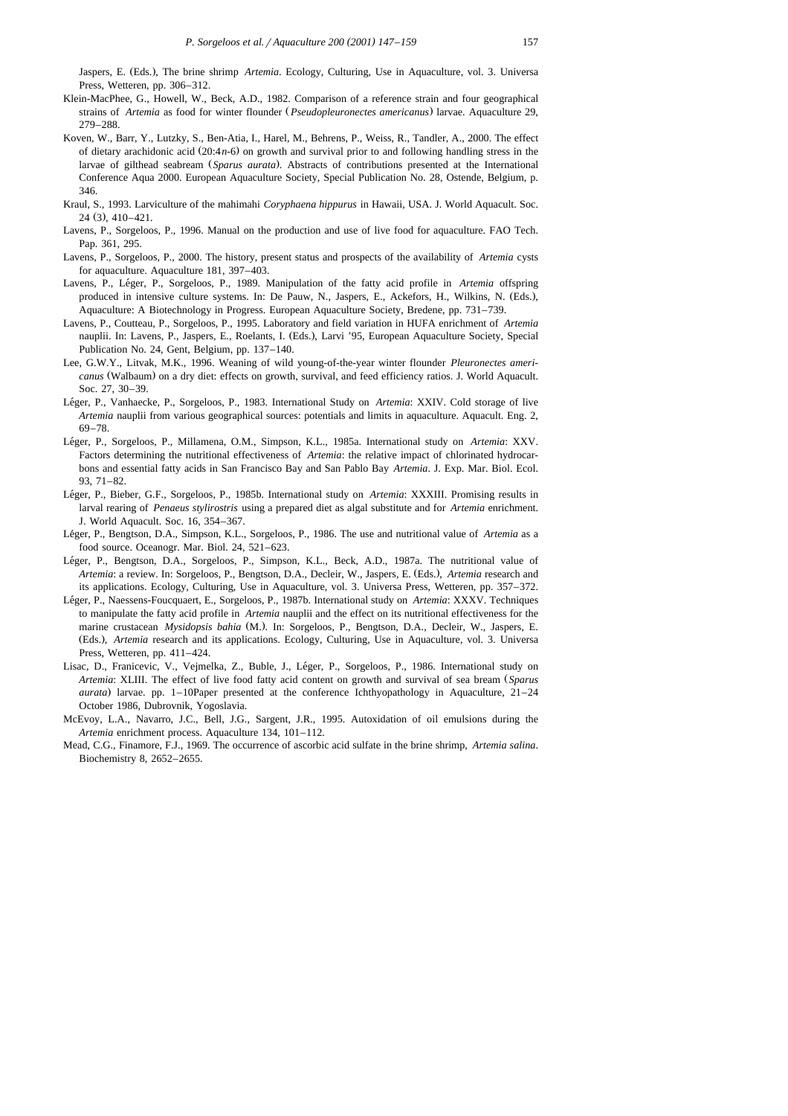Jaspers, E. (Eds.), The brine shrimp *Artemia*. Ecology, Culturing, Use in Aquaculture, vol. 3. Universa Press, Wetteren, pp. 306–312.

- Klein-MacPhee, G., Howell, W., Beck, A.D., 1982. Comparison of a reference strain and four geographical strains of *Artemia* as food for winter flounder (*Pseudopleuronectes americanus*) larvae. Aquaculture 29, 279–288.
- Koven, W., Barr, Y., Lutzky, S., Ben-Atia, I., Harel, M., Behrens, P., Weiss, R., Tandler, A., 2000. The effect of dietary arachidonic acid  $(20:4n-6)$  on growth and survival prior to and following handling stress in the larvae of gilthead seabream (*Sparus aurata*). Abstracts of contributions presented at the International Conference Aqua 2000. European Aquaculture Society, Special Publication No. 28, Ostende, Belgium, p. 346.
- Kraul, S., 1993. Larviculture of the mahimahi *Coryphaena hippurus* in Hawaii, USA. J. World Aquacult. Soc.  $24(3)$ ,  $410-421$ .
- Lavens, P., Sorgeloos, P., 1996. Manual on the production and use of live food for aquaculture. FAO Tech. Pap. 361, 295.
- Lavens, P., Sorgeloos, P., 2000. The history, present status and prospects of the availability of *Artemia* cysts for aquaculture. Aquaculture 181, 397–403.
- Lavens, P., Léger, P., Sorgeloos, P., 1989. Manipulation of the fatty acid profile in Artemia offspring produced in intensive culture systems. In: De Pauw, N., Jaspers, E., Ackefors, H., Wilkins, N. (Eds.), Aquaculture: A Biotechnology in Progress. European Aquaculture Society, Bredene, pp. 731–739.
- Lavens, P., Coutteau, P., Sorgeloos, P., 1995. Laboratory and field variation in HUFA enrichment of *Artemia* nauplii. In: Lavens, P., Jaspers, E., Roelants, I. (Eds.), Larvi '95, European Aquaculture Society, Special Publication No. 24, Gent, Belgium, pp. 137–140.
- Lee, G.W.Y., Litvak, M.K., 1996. Weaning of wild young-of-the-year winter flounder *Pleuronectes americanus* (Walbaum) on a dry diet: effects on growth, survival, and feed efficiency ratios. J. World Aquacult. Soc. 27, 30–39.
- Léger, P., Vanhaecke, P., Sorgeloos, P., 1983. International Study on *Artemia: XXIV.* Cold storage of live *Artemia* nauplii from various geographical sources: potentials and limits in aquaculture. Aquacult. Eng. 2, 69–78.
- Léger, P., Sorgeloos, P., Millamena, O.M., Simpson, K.L., 1985a. International study on *Artemia*: XXV. Factors determining the nutritional effectiveness of *Artemia*: the relative impact of chlorinated hydrocarbons and essential fatty acids in San Francisco Bay and San Pablo Bay *Artemia*. J. Exp. Mar. Biol. Ecol. 93, 71–82.
- Léger, P., Bieber, G.F., Sorgeloos, P., 1985b. International study on *Artemia*: XXXIII. Promising results in larval rearing of *Penaeus stylirostris* using a prepared diet as algal substitute and for *Artemia* enrichment. J. World Aquacult. Soc. 16, 354–367.
- Léger, P., Bengtson, D.A., Simpson, K.L., Sorgeloos, P., 1986. The use and nutritional value of *Artemia* as a food source. Oceanogr. Mar. Biol. 24, 521–623.
- Léger, P., Bengtson, D.A., Sorgeloos, P., Simpson, K.L., Beck, A.D., 1987a. The nutritional value of *Artemia*: a review. In: Sorgeloos, P., Bengtson, D.A., Decleir, W., Jaspers, E. (Eds.), Artemia research and its applications. Ecology, Culturing, Use in Aquaculture, vol. 3. Universa Press, Wetteren, pp. 357–372.
- Léger, P., Naessens-Foucquaert, E., Sorgeloos, P., 1987b. International study on *Artemia*: XXXV. Techniques to manipulate the fatty acid profile in *Artemia* nauplii and the effect on its nutritional effectiveness for the marine crustacean *Mysidopsis bahia* (M.). In: Sorgeloos, P., Bengtson, D.A., Decleir, W., Jaspers, E. (Eds.), *Artemia* research and its applications. Ecology, Culturing, Use in Aquaculture, vol. 3. Universa Press, Wetteren, pp. 411–424.
- Lisac, D., Franicevic, V., Vejmelka, Z., Buble, J., Leger, P., Sorgeloos, P., 1986. International study on ´ *Artemia*: XLIII. The effect of live food fatty acid content on growth and survival of sea bream (Sparus *aurata*) larvae. pp. 1–10Paper presented at the conference Ichthyopathology in Aquaculture, 21–24 October 1986, Dubrovnik, Yogoslavia.
- McEvoy, L.A., Navarro, J.C., Bell, J.G., Sargent, J.R., 1995. Autoxidation of oil emulsions during the *Artemia* enrichment process. Aquaculture 134, 101–112.
- Mead, C.G., Finamore, F.J., 1969. The occurrence of ascorbic acid sulfate in the brine shrimp, *Artemia salina*. Biochemistry 8, 2652–2655.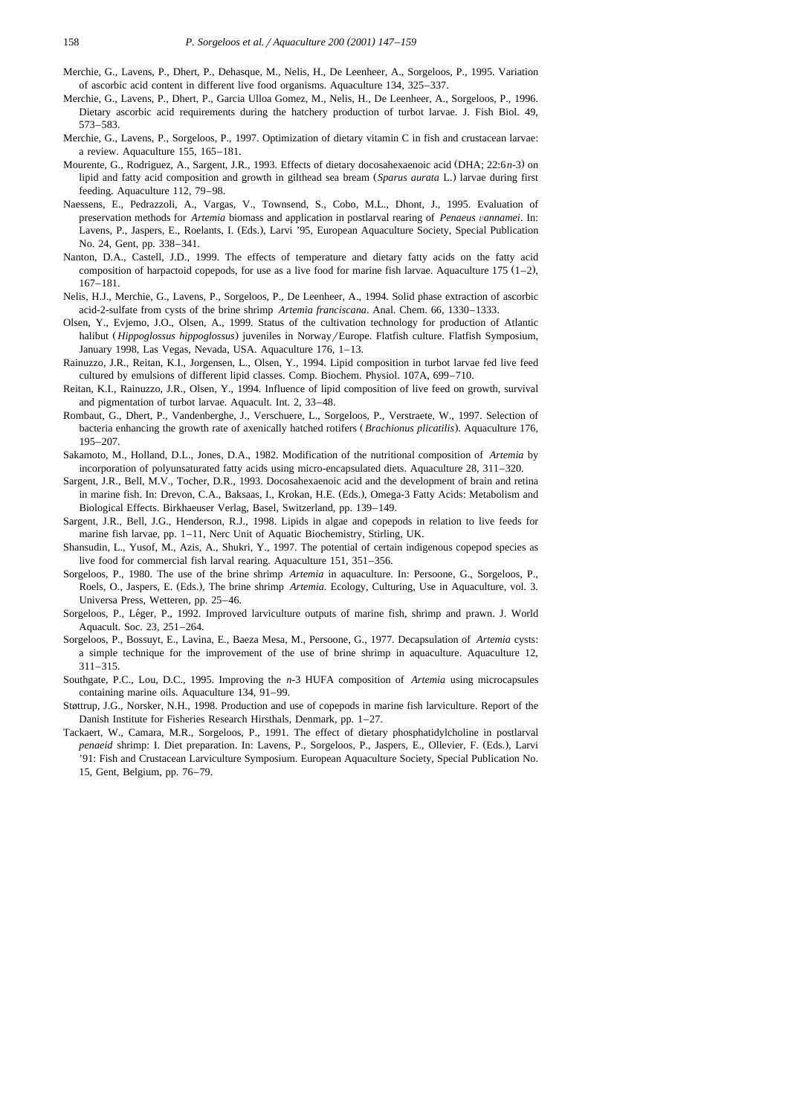- Merchie, G., Lavens, P., Dhert, P., Dehasque, M., Nelis, H., De Leenheer, A., Sorgeloos, P., 1995. Variation of ascorbic acid content in different live food organisms. Aquaculture 134, 325–337.
- Merchie, G., Lavens, P., Dhert, P., Garcia Ulloa Gomez, M., Nelis, H., De Leenheer, A., Sorgeloos, P., 1996. Dietary ascorbic acid requirements during the hatchery production of turbot larvae. J. Fish Biol. 49, 573–583.
- Merchie, G., Lavens, P., Sorgeloos, P., 1997. Optimization of dietary vitamin C in fish and crustacean larvae: a review. Aquaculture 155, 165–181.
- Mourente, G., Rodriguez, A., Sargent, J.R., 1993. Effects of dietary docosahexaenoic acid (DHA; 22:6n-3) on lipid and fatty acid composition and growth in gilthead sea bream (Sparus aurata L.) larvae during first feeding. Aquaculture 112, 79–98.
- Naessens, E., Pedrazzoli, A., Vargas, V., Townsend, S., Cobo, M.L., Dhont, J., 1995. Evaluation of preservation methods for *Artemia* biomass and application in postlarval rearing of *Penaeus vannamei*. In: Lavens, P., Jaspers, E., Roelants, I. (Eds.), Larvi '95, European Aquaculture Society, Special Publication No. 24, Gent, pp. 338–341.
- Nanton, D.A., Castell, J.D., 1999. The effects of temperature and dietary fatty acids on the fatty acid composition of harpactoid copepods, for use as a live food for marine fish larvae. Aquaculture 175  $(1-2)$ , 167–181.
- Nelis, H.J., Merchie, G., Lavens, P., Sorgeloos, P., De Leenheer, A., 1994. Solid phase extraction of ascorbic acid-2-sulfate from cysts of the brine shrimp *Artemia franciscana*. Anal. Chem. 66, 1330–1333.
- Olsen, Y., Evjemo, J.O., Olsen, A., 1999. Status of the cultivation technology for production of Atlantic halibut (*Hippoglossus hippoglossus*) juveniles in Norway/Europe. Flatfish culture. Flatfish Symposium, January 1998, Las Vegas, Nevada, USA. Aquaculture 176, 1–13.
- Rainuzzo, J.R., Reitan, K.I., Jorgensen, L., Olsen, Y., 1994. Lipid composition in turbot larvae fed live feed cultured by emulsions of different lipid classes. Comp. Biochem. Physiol. 107A, 699–710.
- Reitan, K.I., Rainuzzo, J.R., Olsen, Y., 1994. Influence of lipid composition of live feed on growth, survival and pigmentation of turbot larvae. Aquacult. Int. 2, 33–48.
- Rombaut, G., Dhert, P., Vandenberghe, J., Verschuere, L., Sorgeloos, P., Verstraete, W., 1997. Selection of bacteria enhancing the growth rate of axenically hatched rotifers (*Brachionus plicatilis*). Aquaculture 176, 195–207.
- Sakamoto, M., Holland, D.L., Jones, D.A., 1982. Modification of the nutritional composition of *Artemia* by incorporation of polyunsaturated fatty acids using micro-encapsulated diets. Aquaculture 28, 311–320.
- Sargent, J.R., Bell, M.V., Tocher, D.R., 1993. Docosahexaenoic acid and the development of brain and retina in marine fish. In: Drevon, C.A., Baksaas, I., Krokan, H.E. (Eds.), Omega-3 Fatty Acids: Metabolism and Biological Effects. Birkhaeuser Verlag, Basel, Switzerland, pp. 139–149.
- Sargent, J.R., Bell, J.G., Henderson, R.J., 1998. Lipids in algae and copepods in relation to live feeds for marine fish larvae, pp. 1–11, Nerc Unit of Aquatic Biochemistry, Stirling, UK.
- Shansudin, L., Yusof, M., Azis, A., Shukri, Y., 1997. The potential of certain indigenous copepod species as live food for commercial fish larval rearing. Aquaculture 151, 351–356.
- Sorgeloos, P., 1980. The use of the brine shrimp *Artemia* in aquaculture. In: Persoone, G., Sorgeloos, P., Roels, O., Jaspers, E. (Eds.), The brine shrimp *Artemia*. Ecology, Culturing, Use in Aquaculture, vol. 3. Universa Press, Wetteren, pp. 25–46.
- Sorgeloos, P., Leger, P., 1992. Improved larviculture outputs of marine fish, shrimp and prawn. J. World ´ Aquacult. Soc. 23, 251–264.
- Sorgeloos, P., Bossuyt, E., Lavina, E., Baeza Mesa, M., Persoone, G., 1977. Decapsulation of *Artemia* cysts: a simple technique for the improvement of the use of brine shrimp in aquaculture. Aquaculture 12, 311–315.
- Southgate, P.C., Lou, D.C., 1995. Improving the *n*-3 HUFA composition of *Artemia* using microcapsules containing marine oils. Aquaculture 134, 91–99.
- Støttrup, J.G., Norsker, N.H., 1998. Production and use of copepods in marine fish larviculture. Report of the Danish Institute for Fisheries Research Hirsthals, Denmark, pp. 1–27.
- Tackaert, W., Camara, M.R., Sorgeloos, P., 1991. The effect of dietary phosphatidylcholine in postlarval *penaeid* shrimp: I. Diet preparation. In: Lavens, P., Sorgeloos, P., Jaspers, E., Ollevier, F. (Eds.), Larvi '91: Fish and Crustacean Larviculture Symposium. European Aquaculture Society, Special Publication No. 15, Gent, Belgium, pp. 76–79.